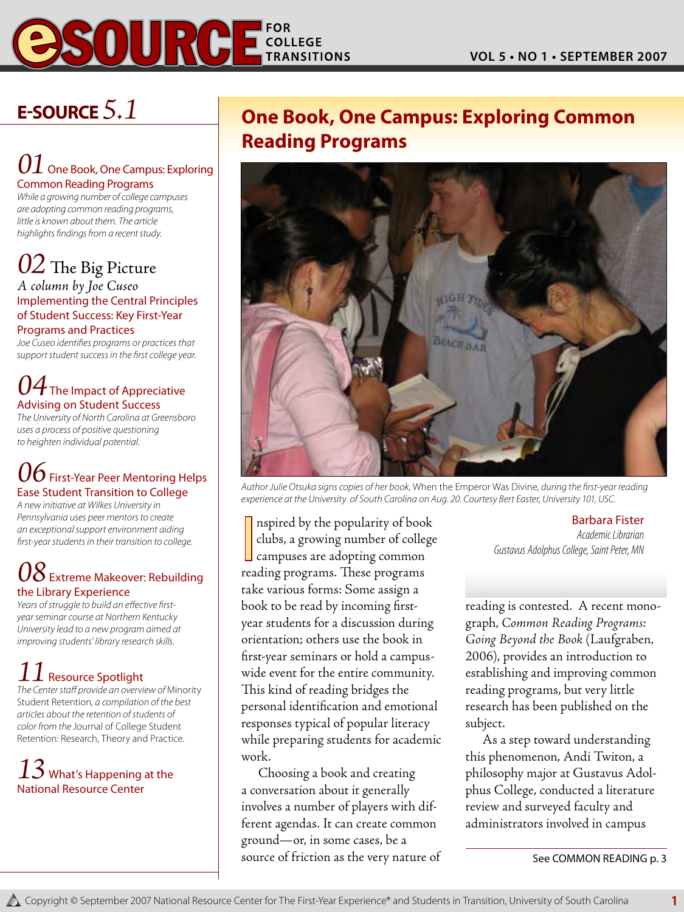

# **E-Source** *5.1*

### $01$  One Book, One Campus: Exploring Common Reading Programs

*While a growing number of college campuses are adopting common reading programs, little is known about them. The article highlights findings from a recent study.*

# *02* The Big Picture

*A column by Joe Cuseo* Implementing the Central Principles of Student Success: Key First-Year Programs and Practices

*Joe Cuseo identifies programs or practices that support student success in the first college year.*

### $04$  The Impact of Appreciative Advising on Student Success

*The University of North Carolina at Greensboro uses a process of positive questioning to heighten individual potential.*

# *O* First-Year Peer Mentoring Helps Ease Student Transition to College

*A new initiative at Wilkes University in Pennsylvania uses peer mentors to create an exceptional support environment aiding first-year students in their transition to college.*

## $\delta$  Extreme Makeover: Rebuilding the Library Experience

*Years of struggle to build an effective firstyear seminar course at Northern Kentucky University lead to a new program aimed at improving students' library research skills.*

# $\boldsymbol{1}$  Resource Spotlight

*The Center staff provide an overview of* Minority Student Retention*, a compilation of the best articles about the retention of students of color from the* Journal of College Student Retention: Research, Theory and Practice.

## $13$  What's Happening at the National Resource Center

# **One Book, One Campus: Exploring Common Reading Programs**



*Author Julie Otsuka signs copies of her book,* When the Emperor Was Divine*, during the first-year reading experience at the University of South Carolina on Aug. 20. Courtesy Bert Easter, University 101, USC.*

Inspired by the popularity of bool<br>clubs, a growing number of colleg<br>campuses are adopting common<br>reading programs. These programs nspired by the popularity of book clubs, a growing number of college campuses are adopting common take various forms: Some assign a book to be read by incoming firstyear students for a discussion during orientation; others use the book in first-year seminars or hold a campuswide event for the entire community. This kind of reading bridges the personal identification and emotional responses typical of popular literacy while preparing students for academic work.

Choosing a book and creating a conversation about it generally involves a number of players with different agendas. It can create common ground—or, in some cases, be a source of friction as the very nature of Barbara Fister

*Academic Librarian Gustavus Adolphus College, Saint Peter, MN*

reading is contested. A recent monograph, *Common Reading Programs: Going Beyond the Book* (Laufgraben, 2006), provides an introduction to establishing and improving common reading programs, but very little research has been published on the subject.

As a step toward understanding this phenomenon, Andi Twiton, a philosophy major at Gustavus Adolphus College, conducted a literature review and surveyed faculty and administrators involved in campus

See Common Reading p. 3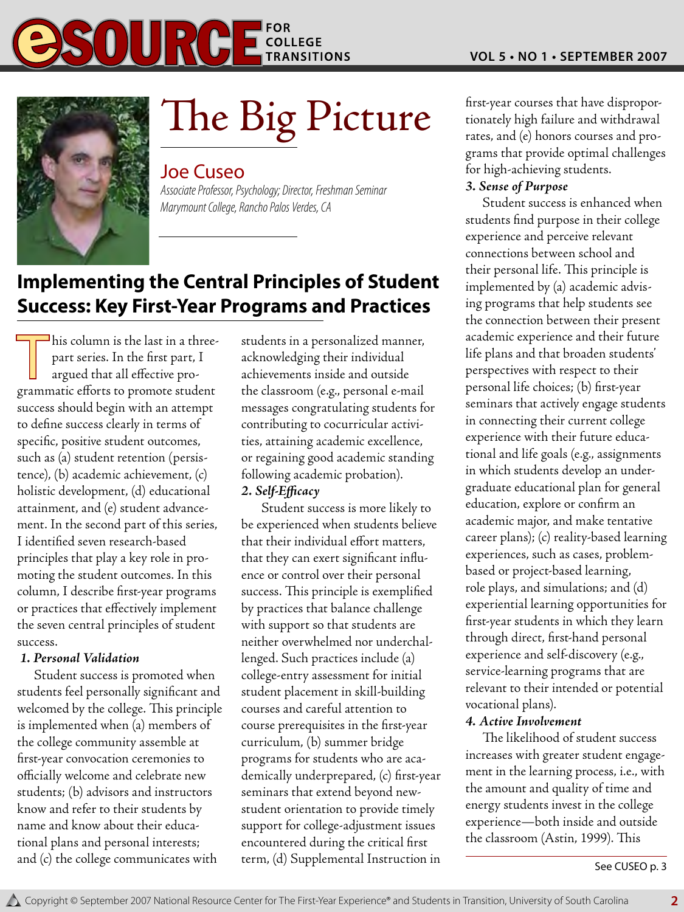

# The Big Picture

#### Joe Cuseo

*Associate Professor, Psychology; Director, Freshman Seminar Marymount College, Rancho Palos Verdes, CA*

# **Implementing the Central Principles of Student Success: Key First-Year Programs and Practices**

This column is the last in a three-<br>part series. In the first part, I<br>argued that all effective propart series. In the first part, I argued that all effective programmatic efforts to promote student success should begin with an attempt to define success clearly in terms of specific, positive student outcomes, such as (a) student retention (persistence), (b) academic achievement, (c) holistic development, (d) educational attainment, and (e) student advancement. In the second part of this series, I identified seven research-based principles that play a key role in promoting the student outcomes. In this column, I describe first-year programs or practices that effectively implement the seven central principles of student success.

#### *1. Personal Validation*

Student success is promoted when students feel personally significant and welcomed by the college. This principle is implemented when (a) members of the college community assemble at first-year convocation ceremonies to officially welcome and celebrate new students; (b) advisors and instructors know and refer to their students by name and know about their educational plans and personal interests; and (c) the college communicates with

students in a personalized manner, acknowledging their individual achievements inside and outside the classroom (e.g., personal e-mail messages congratulating students for contributing to cocurricular activities, attaining academic excellence, or regaining good academic standing following academic probation). *2. Self-Efficacy*

Student success is more likely to be experienced when students believe that their individual effort matters, that they can exert significant influence or control over their personal success. This principle is exemplified by practices that balance challenge with support so that students are neither overwhelmed nor underchallenged. Such practices include (a) college-entry assessment for initial student placement in skill-building courses and careful attention to course prerequisites in the first-year curriculum, (b) summer bridge programs for students who are academically underprepared, (c) first-year seminars that extend beyond newstudent orientation to provide timely support for college-adjustment issues encountered during the critical first term, (d) Supplemental Instruction in first-year courses that have disproportionately high failure and withdrawal rates, and (e) honors courses and programs that provide optimal challenges for high-achieving students.

#### *3. Sense of Purpose*

Student success is enhanced when students find purpose in their college experience and perceive relevant connections between school and their personal life. This principle is implemented by (a) academic advising programs that help students see the connection between their present academic experience and their future life plans and that broaden students' perspectives with respect to their personal life choices; (b) first-year seminars that actively engage students in connecting their current college experience with their future educational and life goals (e.g., assignments in which students develop an undergraduate educational plan for general education, explore or confirm an academic major, and make tentative career plans); (c) reality-based learning experiences, such as cases, problembased or project-based learning, role plays, and simulations; and (d) experiential learning opportunities for first-year students in which they learn through direct, first-hand personal experience and self-discovery (e.g., service-learning programs that are relevant to their intended or potential vocational plans).

#### *4. Active Involvement*

The likelihood of student success increases with greater student engagement in the learning process, i.e., with the amount and quality of time and energy students invest in the college experience—both inside and outside the classroom (Astin, 1999). This

See CUSEO p. 3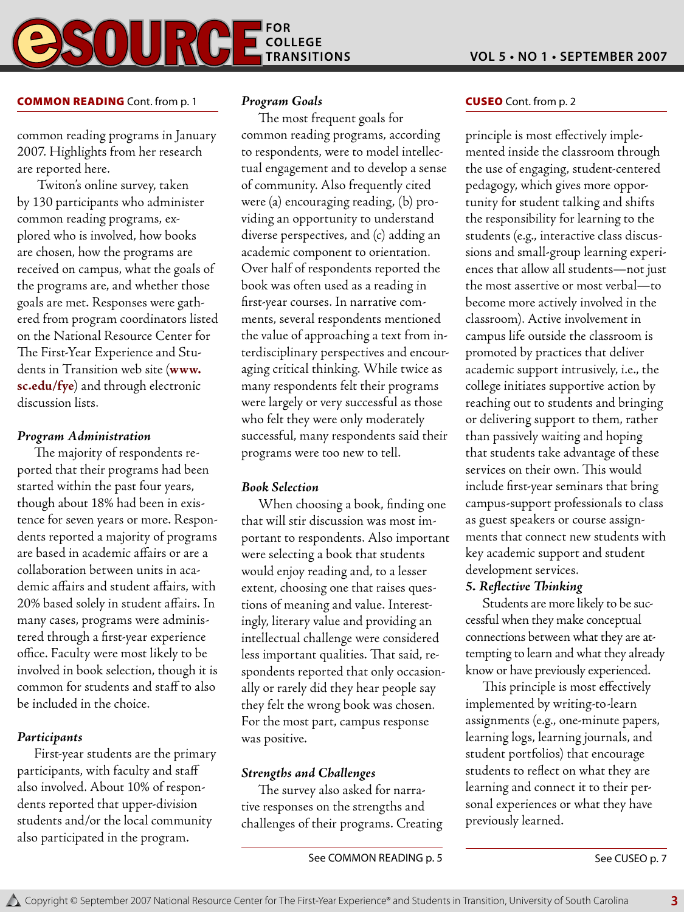#### Common Reading Cont. from p. 1 *Program Goals*

common reading programs in January 2007. Highlights from her research are reported here.

 Twiton's online survey, taken by 130 participants who administer common reading programs, explored who is involved, how books are chosen, how the programs are received on campus, what the goals of the programs are, and whether those goals are met. Responses were gathered from program coordinators listed on the National Resource Center for The First-Year Experience and Students in Transition web site (**www. sc.edu/fye**) and through electronic discussion lists.

#### *Program Administration*

The majority of respondents reported that their programs had been started within the past four years, though about 18% had been in existence for seven years or more. Respondents reported a majority of programs are based in academic affairs or are a collaboration between units in academic affairs and student affairs, with 20% based solely in student affairs. In many cases, programs were administered through a first-year experience office. Faculty were most likely to be involved in book selection, though it is common for students and staff to also be included in the choice.

#### *Participants*

First-year students are the primary participants, with faculty and staff also involved. About 10% of respondents reported that upper-division students and/or the local community also participated in the program.

The most frequent goals for common reading programs, according to respondents, were to model intellectual engagement and to develop a sense of community. Also frequently cited were (a) encouraging reading, (b) providing an opportunity to understand diverse perspectives, and (c) adding an academic component to orientation. Over half of respondents reported the book was often used as a reading in first-year courses. In narrative comments, several respondents mentioned the value of approaching a text from interdisciplinary perspectives and encouraging critical thinking. While twice as many respondents felt their programs were largely or very successful as those who felt they were only moderately successful, many respondents said their programs were too new to tell.

#### *Book Selection*

When choosing a book, finding one that will stir discussion was most important to respondents. Also important were selecting a book that students would enjoy reading and, to a lesser extent, choosing one that raises questions of meaning and value. Interestingly, literary value and providing an intellectual challenge were considered less important qualities. That said, respondents reported that only occasionally or rarely did they hear people say they felt the wrong book was chosen. For the most part, campus response was positive.

#### *Strengths and Challenges*

The survey also asked for narrative responses on the strengths and challenges of their programs. Creating

#### Cuseo Cont. from p. 2

principle is most effectively implemented inside the classroom through the use of engaging, student-centered pedagogy, which gives more opportunity for student talking and shifts the responsibility for learning to the students (e.g., interactive class discussions and small-group learning experiences that allow all students—not just the most assertive or most verbal—to become more actively involved in the classroom). Active involvement in campus life outside the classroom is promoted by practices that deliver academic support intrusively, i.e., the college initiates supportive action by reaching out to students and bringing or delivering support to them, rather than passively waiting and hoping that students take advantage of these services on their own. This would include first-year seminars that bring campus-support professionals to class as guest speakers or course assignments that connect new students with key academic support and student development services.

#### *5. Reflective Thinking*

Students are more likely to be successful when they make conceptual connections between what they are attempting to learn and what they already know or have previously experienced.

This principle is most effectively implemented by writing-to-learn assignments (e.g., one-minute papers, learning logs, learning journals, and student portfolios) that encourage students to reflect on what they are learning and connect it to their personal experiences or what they have previously learned.

See COMMON READING p. 5 See CUSEO p. 7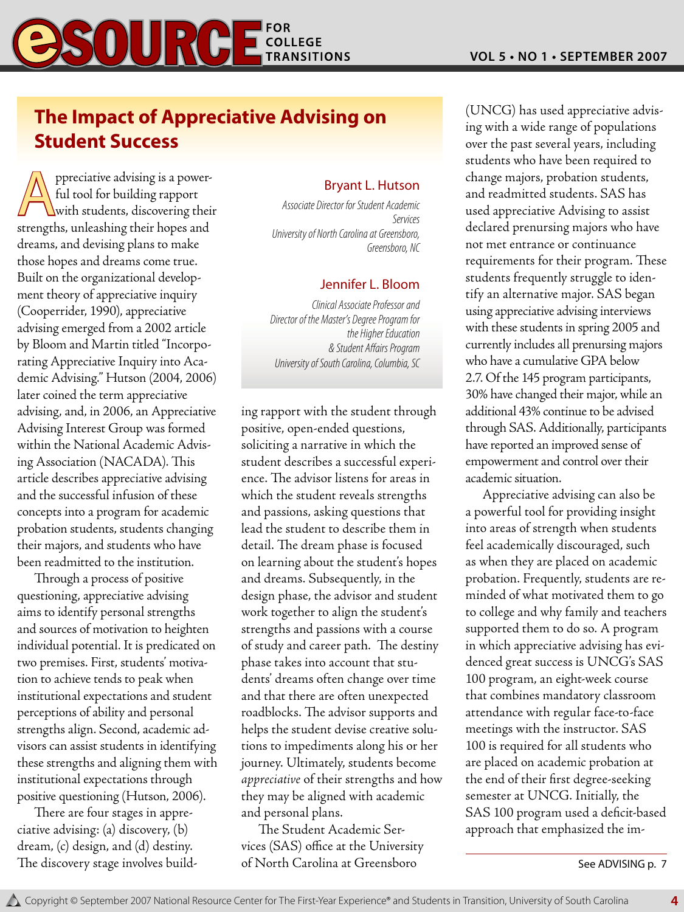# **The Impact of Appreciative Advising on Student Success**

**A** ppreciative advising is a power-<br>ful tool for building rapport<br>strangths, unleashing their hones and ful tool for building rapport strengths, unleashing their hopes and dreams, and devising plans to make those hopes and dreams come true. Built on the organizational development theory of appreciative inquiry (Cooperrider, 1990), appreciative advising emerged from a 2002 article by Bloom and Martin titled "Incorporating Appreciative Inquiry into Academic Advising." Hutson (2004, 2006) later coined the term appreciative advising, and, in 2006, an Appreciative Advising Interest Group was formed within the National Academic Advising Association (NACADA). This article describes appreciative advising and the successful infusion of these concepts into a program for academic probation students, students changing their majors, and students who have been readmitted to the institution.

Through a process of positive questioning, appreciative advising aims to identify personal strengths and sources of motivation to heighten individual potential. It is predicated on two premises. First, students' motivation to achieve tends to peak when institutional expectations and student perceptions of ability and personal strengths align. Second, academic advisors can assist students in identifying these strengths and aligning them with institutional expectations through positive questioning (Hutson, 2006).

There are four stages in appreciative advising: (a) discovery, (b) dream, (c) design, and (d) destiny. The discovery stage involves build-

#### Bryant L. Hutson

*Associate Director for Student Academic Services University of North Carolina at Greensboro, Greensboro, NC* 

#### Jennifer L. Bloom

*Clinical Associate Professor and Director of the Master's Degree Program for the Higher Education & Student Affairs Program University of South Carolina, Columbia, SC* 

ing rapport with the student through positive, open-ended questions, soliciting a narrative in which the student describes a successful experience. The advisor listens for areas in which the student reveals strengths and passions, asking questions that lead the student to describe them in detail. The dream phase is focused on learning about the student's hopes and dreams. Subsequently, in the design phase, the advisor and student work together to align the student's strengths and passions with a course of study and career path. The destiny phase takes into account that students' dreams often change over time and that there are often unexpected roadblocks. The advisor supports and helps the student devise creative solutions to impediments along his or her journey. Ultimately, students become *appreciative* of their strengths and how they may be aligned with academic and personal plans.

The Student Academic Services (SAS) office at the University of North Carolina at Greensboro

(UNCG) has used appreciative advising with a wide range of populations over the past several years, including students who have been required to change majors, probation students, and readmitted students. SAS has used appreciative Advising to assist declared prenursing majors who have not met entrance or continuance requirements for their program. These students frequently struggle to identify an alternative major. SAS began using appreciative advising interviews with these students in spring 2005 and currently includes all prenursing majors who have a cumulative GPA below 2.7. Of the 145 program participants, 30% have changed their major, while an additional 43% continue to be advised through SAS. Additionally, participants have reported an improved sense of empowerment and control over their academic situation.

Appreciative advising can also be a powerful tool for providing insight into areas of strength when students feel academically discouraged, such as when they are placed on academic probation. Frequently, students are reminded of what motivated them to go to college and why family and teachers supported them to do so. A program in which appreciative advising has evidenced great success is UNCG's SAS 100 program, an eight-week course that combines mandatory classroom attendance with regular face-to-face meetings with the instructor. SAS 100 is required for all students who are placed on academic probation at the end of their first degree-seeking semester at UNCG. Initially, the SAS 100 program used a deficit-based approach that emphasized the im-

See ADVISING p. 7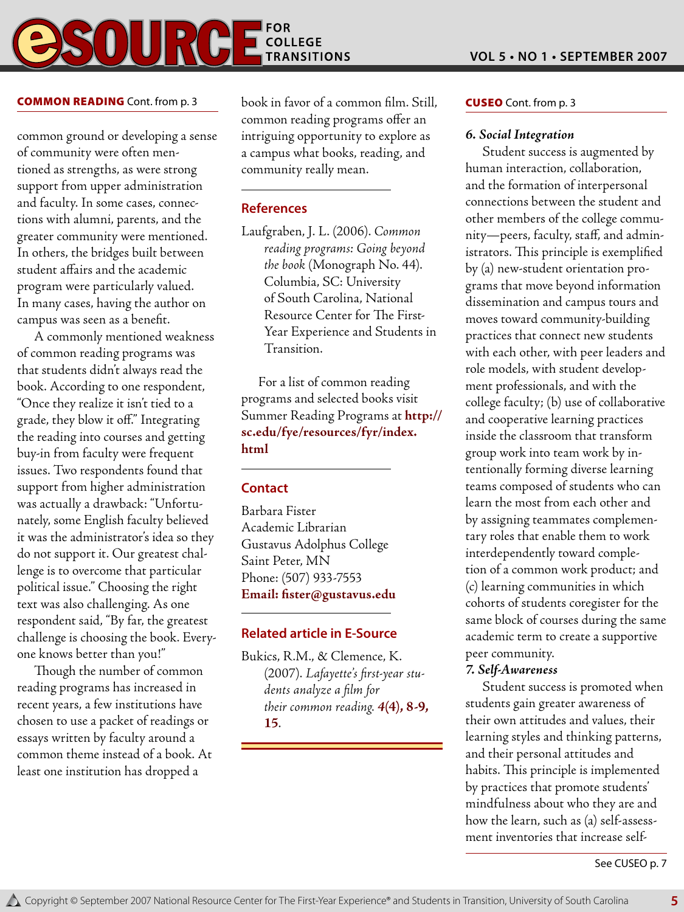# **COLLEGE**  $\begin{array}{c} \textbf{0} \textbf{1} \textbf{I} \end{array}$

common ground or developing a sense of community were often mentioned as strengths, as were strong support from upper administration and faculty. In some cases, connections with alumni, parents, and the greater community were mentioned. In others, the bridges built between student affairs and the academic program were particularly valued. In many cases, having the author on campus was seen as a benefit.

A commonly mentioned weakness of common reading programs was that students didn't always read the book. According to one respondent, "Once they realize it isn't tied to a grade, they blow it off." Integrating the reading into courses and getting buy-in from faculty were frequent issues. Two respondents found that support from higher administration was actually a drawback: "Unfortunately, some English faculty believed it was the administrator's idea so they do not support it. Our greatest challenge is to overcome that particular political issue." Choosing the right text was also challenging. As one respondent said, "By far, the greatest challenge is choosing the book. Everyone knows better than you!"

Though the number of common reading programs has increased in recent years, a few institutions have chosen to use a packet of readings or essays written by faculty around a common theme instead of a book. At least one institution has dropped a

**COMMON READING** Cont. from p. 3 book in favor of a common film. Still, **CUSEO** Cont. from p. 3 common reading programs offer an intriguing opportunity to explore as a campus what books, reading, and community really mean.

#### **References**

Laufgraben, J. L. (2006). *Common reading programs: Going beyond the book* (Monograph No. 44). Columbia, SC: University of South Carolina, National Resource Center for The First-Year Experience and Students in Transition.

For a list of common reading programs and selected books visit Summer Reading Programs at **http:// sc.edu/fye/resources/fyr/index. html**

#### **Contact**

Barbara Fister Academic Librarian Gustavus Adolphus College Saint Peter, MN Phone: (507) 933-7553 **Email: fister@gustavus.edu**

#### **Related article in E-Source**

Bukics, R.M., & Clemence, K. (2007). *Lafayette's first-year students analyze a film for their common reading. 4***(4), 8-9, 15**.

#### *6. Social Integration*

Student success is augmented by human interaction, collaboration, and the formation of interpersonal connections between the student and other members of the college community—peers, faculty, staff, and administrators. This principle is exemplified by (a) new-student orientation programs that move beyond information dissemination and campus tours and moves toward community-building practices that connect new students with each other, with peer leaders and role models, with student development professionals, and with the college faculty; (b) use of collaborative and cooperative learning practices inside the classroom that transform group work into team work by intentionally forming diverse learning teams composed of students who can learn the most from each other and by assigning teammates complementary roles that enable them to work interdependently toward completion of a common work product; and (c) learning communities in which cohorts of students coregister for the same block of courses during the same academic term to create a supportive peer community.

#### *7. Self-Awareness*

Student success is promoted when students gain greater awareness of their own attitudes and values, their learning styles and thinking patterns, and their personal attitudes and habits. This principle is implemented by practices that promote students' mindfulness about who they are and how the learn, such as (a) self-assessment inventories that increase self-

See CUSEO p. 7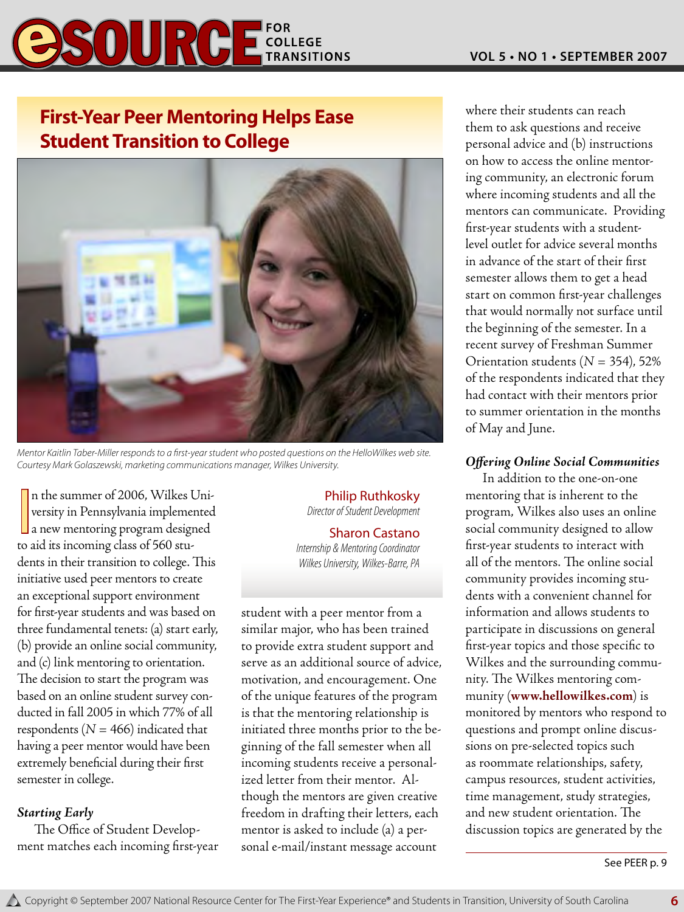# **ESOURGE FOR A LITRANSITIONS**

# **First-Year Peer Mentoring Helps Ease Student Transition to College**



*Mentor Kaitlin Taber-Miller responds to a first-year student who posted questions on the HelloWilkes web site. Courtesy Mark Golaszewski, marketing communications manager, Wilkes University.*

In the summer of 2006, Wilkes University in Pennsylvania implemented<br>a new mentoring program designed<br>to eid its incoming class of 560 sty. n the summer of 2006, Wilkes University in Pennsylvania implemented to aid its incoming class of 560 students in their transition to college. This initiative used peer mentors to create an exceptional support environment for first-year students and was based on three fundamental tenets: (a) start early, (b) provide an online social community, and (c) link mentoring to orientation. The decision to start the program was based on an online student survey conducted in fall 2005 in which 77% of all respondents ( $N = 466$ ) indicated that having a peer mentor would have been extremely beneficial during their first semester in college.

#### *Starting Early*

The Office of Student Development matches each incoming first-year

# Philip Ruthkosky

*Director of Student Development*

#### Sharon Castano

*Internship & Mentoring Coordinator Wilkes University, Wilkes-Barre, PA*

student with a peer mentor from a similar major, who has been trained to provide extra student support and serve as an additional source of advice, motivation, and encouragement. One of the unique features of the program is that the mentoring relationship is initiated three months prior to the beginning of the fall semester when all incoming students receive a personalized letter from their mentor. Although the mentors are given creative freedom in drafting their letters, each mentor is asked to include (a) a personal e-mail/instant message account

where their students can reach them to ask questions and receive personal advice and (b) instructions on how to access the online mentoring community, an electronic forum where incoming students and all the mentors can communicate. Providing first-year students with a studentlevel outlet for advice several months in advance of the start of their first semester allows them to get a head start on common first-year challenges that would normally not surface until the beginning of the semester. In a recent survey of Freshman Summer Orientation students (*N* = 354), 52% of the respondents indicated that they had contact with their mentors prior to summer orientation in the months of May and June.

#### *Offering Online Social Communities*

In addition to the one-on-one mentoring that is inherent to the program, Wilkes also uses an online social community designed to allow first-year students to interact with all of the mentors. The online social community provides incoming students with a convenient channel for information and allows students to participate in discussions on general first-year topics and those specific to Wilkes and the surrounding community. The Wilkes mentoring community (**www.hellowilkes.com**) is monitored by mentors who respond to questions and prompt online discussions on pre-selected topics such as roommate relationships, safety, campus resources, student activities, time management, study strategies, and new student orientation. The discussion topics are generated by the

See PEER p. 9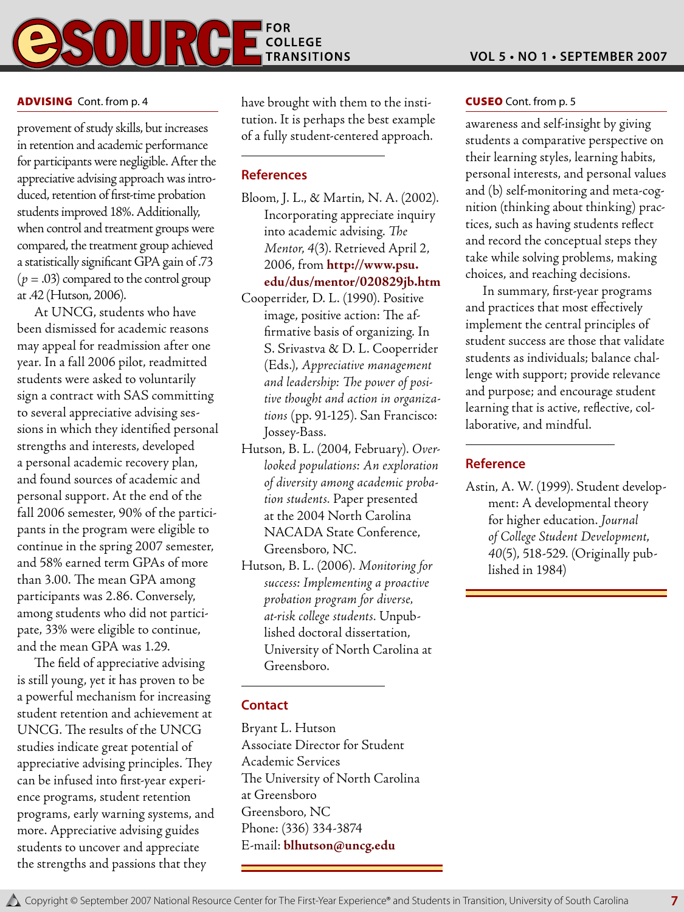

#### **ADVISING** Cont. from p. 4

provement of study skills, but increases in retention and academic performance for participants were negligible. After the appreciative advising approach was introduced, retention of first-time probation students improved 18%. Additionally, when control and treatment groups were compared, the treatment group achieved a statistically significant GPA gain of .73 (*p* = .03) compared to the control group at .42 (Hutson, 2006).

At UNCG, students who have been dismissed for academic reasons may appeal for readmission after one year. In a fall 2006 pilot, readmitted students were asked to voluntarily sign a contract with SAS committing to several appreciative advising sessions in which they identified personal strengths and interests, developed a personal academic recovery plan, and found sources of academic and personal support. At the end of the fall 2006 semester, 90% of the participants in the program were eligible to continue in the spring 2007 semester, and 58% earned term GPAs of more than 3.00. The mean GPA among participants was 2.86. Conversely, among students who did not participate, 33% were eligible to continue, and the mean GPA was 1.29.

The field of appreciative advising is still young, yet it has proven to be a powerful mechanism for increasing student retention and achievement at UNCG. The results of the UNCG studies indicate great potential of appreciative advising principles. They can be infused into first-year experience programs, student retention programs, early warning systems, and more. Appreciative advising guides students to uncover and appreciate the strengths and passions that they

have brought with them to the institution. It is perhaps the best example of a fully student-centered approach.

#### **References**

- Bloom, J. L., & Martin, N. A. (2002). Incorporating appreciate inquiry into academic advising. *The Mentor*, *4*(3). Retrieved April 2, 2006, from **http://www.psu. edu/dus/mentor/020829jb.htm**
- Cooperrider, D. L. (1990). Positive image, positive action: The affirmative basis of organizing. In S. Srivastva & D. L. Cooperrider (Eds.), *Appreciative management and leadership: The power of positive thought and action in organizations* (pp. 91-125). San Francisco: Jossey-Bass.
- Hutson, B. L. (2004, February). *Overlooked populations: An exploration of diversity among academic probation students.* Paper presented at the 2004 North Carolina NACADA State Conference, Greensboro, NC.
- Hutson, B. L. (2006). *Monitoring for success: Implementing a proactive probation program for diverse, at-risk college students.* Unpublished doctoral dissertation, University of North Carolina at Greensboro.

#### **Contact**

Bryant L. Hutson Associate Director for Student Academic Services The University of North Carolina at Greensboro Greensboro, NC Phone: (336) 334-3874 E-mail: **blhutson@uncg.edu**

#### **CUSEO** Cont. from p. 5

awareness and self-insight by giving students a comparative perspective on their learning styles, learning habits, personal interests, and personal values and (b) self-monitoring and meta-cognition (thinking about thinking) practices, such as having students reflect and record the conceptual steps they take while solving problems, making choices, and reaching decisions.

In summary, first-year programs and practices that most effectively implement the central principles of student success are those that validate students as individuals; balance challenge with support; provide relevance and purpose; and encourage student learning that is active, reflective, collaborative, and mindful.

#### **Reference**

Astin, A. W. (1999). Student development: A developmental theory for higher education. *Journal of College Student Development*, *40*(5), 518-529. (Originally published in 1984)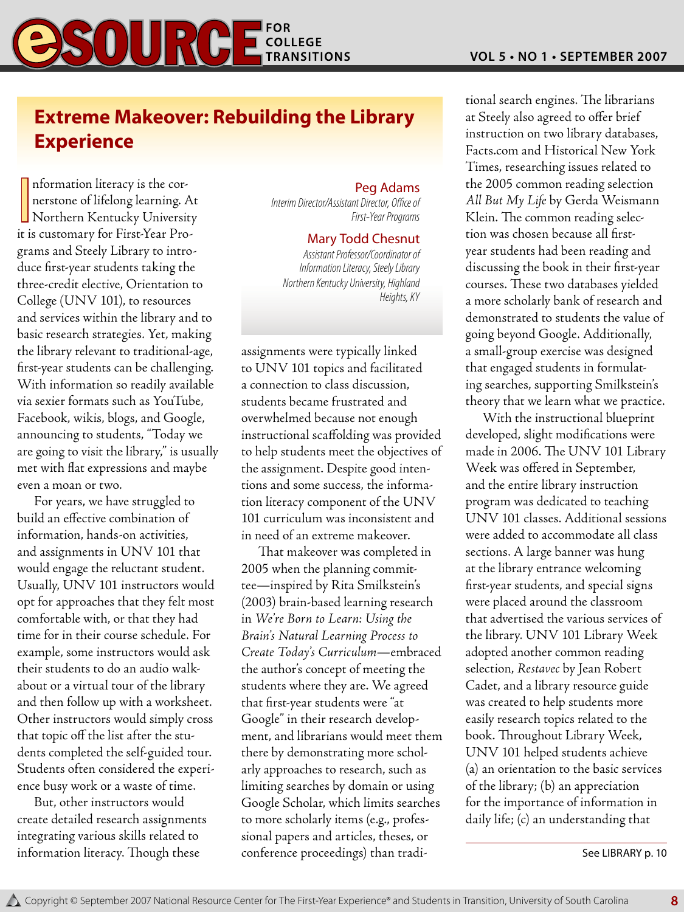# **BSOURGE FOR A TRANSITIONS**

# **Extreme Makeover: Rebuilding the Library Experience**

Information literacy is the cornerstone of lifelong learning. At<br>Northern Kentucky University<br>it is quatemary for First Year Dro nformation literacy is the cornerstone of lifelong learning. At it is customary for First-Year Programs and Steely Library to introduce first-year students taking the three-credit elective, Orientation to College (UNV 101), to resources and services within the library and to basic research strategies. Yet, making the library relevant to traditional-age, first-year students can be challenging. With information so readily available via sexier formats such as YouTube, Facebook, wikis, blogs, and Google, announcing to students, "Today we are going to visit the library," is usually met with flat expressions and maybe even a moan or two.

For years, we have struggled to build an effective combination of information, hands-on activities, and assignments in UNV 101 that would engage the reluctant student. Usually, UNV 101 instructors would opt for approaches that they felt most comfortable with, or that they had time for in their course schedule. For example, some instructors would ask their students to do an audio walkabout or a virtual tour of the library and then follow up with a worksheet. Other instructors would simply cross that topic off the list after the students completed the self-guided tour. Students often considered the experience busy work or a waste of time.

But, other instructors would create detailed research assignments integrating various skills related to information literacy. Though these

#### Peg Adams

*Interim Director/Assistant Director, Office of First-Year Programs*

#### Mary Todd Chesnut

*Assistant Professor/Coordinator of Information Literacy, Steely Library Northern Kentucky University, Highland Heights, KY*

assignments were typically linked to UNV 101 topics and facilitated a connection to class discussion, students became frustrated and overwhelmed because not enough instructional scaffolding was provided to help students meet the objectives of the assignment. Despite good intentions and some success, the information literacy component of the UNV 101 curriculum was inconsistent and in need of an extreme makeover.

That makeover was completed in 2005 when the planning committee—inspired by Rita Smilkstein's (2003) brain-based learning research in *We're Born to Learn: Using the Brain's Natural Learning Process to Create Today's Curriculum*—embraced the author's concept of meeting the students where they are. We agreed that first-year students were "at Google" in their research development, and librarians would meet them there by demonstrating more scholarly approaches to research, such as limiting searches by domain or using Google Scholar, which limits searches to more scholarly items (e.g., professional papers and articles, theses, or conference proceedings) than traditional search engines. The librarians at Steely also agreed to offer brief instruction on two library databases, Facts.com and Historical New York Times, researching issues related to the 2005 common reading selection *All But My Life* by Gerda Weismann Klein. The common reading selection was chosen because all firstyear students had been reading and discussing the book in their first-year courses. These two databases yielded a more scholarly bank of research and demonstrated to students the value of going beyond Google. Additionally, a small-group exercise was designed that engaged students in formulating searches, supporting Smilkstein's theory that we learn what we practice.

With the instructional blueprint developed, slight modifications were made in 2006. The UNV 101 Library Week was offered in September, and the entire library instruction program was dedicated to teaching UNV 101 classes. Additional sessions were added to accommodate all class sections. A large banner was hung at the library entrance welcoming first-year students, and special signs were placed around the classroom that advertised the various services of the library. UNV 101 Library Week adopted another common reading selection, *Restavec* by Jean Robert Cadet, and a library resource guide was created to help students more easily research topics related to the book. Throughout Library Week, UNV 101 helped students achieve (a) an orientation to the basic services of the library; (b) an appreciation for the importance of information in daily life; (c) an understanding that

See LIBRARY p. 10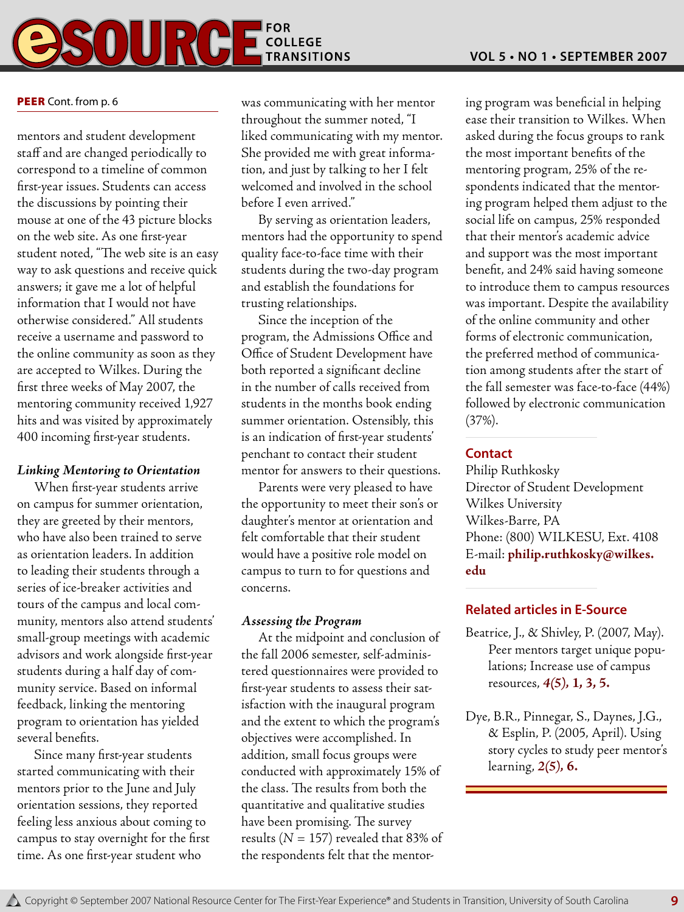# **COLLEGE** SOUR

#### PEER Cont. from p. 6

mentors and student development staff and are changed periodically to correspond to a timeline of common first-year issues. Students can access the discussions by pointing their mouse at one of the 43 picture blocks on the web site. As one first-year student noted, "The web site is an easy way to ask questions and receive quick answers; it gave me a lot of helpful information that I would not have otherwise considered." All students receive a username and password to the online community as soon as they are accepted to Wilkes. During the first three weeks of May 2007, the mentoring community received 1,927 hits and was visited by approximately 400 incoming first-year students.

#### *Linking Mentoring to Orientation*

When first-year students arrive on campus for summer orientation, they are greeted by their mentors, who have also been trained to serve as orientation leaders. In addition to leading their students through a series of ice-breaker activities and tours of the campus and local community, mentors also attend students' small-group meetings with academic advisors and work alongside first-year students during a half day of community service. Based on informal feedback, linking the mentoring program to orientation has yielded several benefits.

Since many first-year students started communicating with their mentors prior to the June and July orientation sessions, they reported feeling less anxious about coming to campus to stay overnight for the first time. As one first-year student who

was communicating with her mentor throughout the summer noted, "I liked communicating with my mentor. She provided me with great information, and just by talking to her I felt welcomed and involved in the school before I even arrived."

By serving as orientation leaders, mentors had the opportunity to spend quality face-to-face time with their students during the two-day program and establish the foundations for trusting relationships.

Since the inception of the program, the Admissions Office and Office of Student Development have both reported a significant decline in the number of calls received from students in the months book ending summer orientation. Ostensibly, this is an indication of first-year students' penchant to contact their student mentor for answers to their questions.

Parents were very pleased to have the opportunity to meet their son's or daughter's mentor at orientation and felt comfortable that their student would have a positive role model on campus to turn to for questions and concerns.

#### *Assessing the Program*

At the midpoint and conclusion of the fall 2006 semester, self-administered questionnaires were provided to first-year students to assess their satisfaction with the inaugural program and the extent to which the program's objectives were accomplished. In addition, small focus groups were conducted with approximately 15% of the class. The results from both the quantitative and qualitative studies have been promising. The survey results ( $N = 157$ ) revealed that 83% of the respondents felt that the mentoring program was beneficial in helping ease their transition to Wilkes. When asked during the focus groups to rank the most important benefits of the mentoring program, 25% of the respondents indicated that the mentoring program helped them adjust to the social life on campus, 25% responded that their mentor's academic advice and support was the most important benefit, and 24% said having someone to introduce them to campus resources was important. Despite the availability of the online community and other forms of electronic communication, the preferred method of communication among students after the start of the fall semester was face-to-face (44%) followed by electronic communication (37%).

#### **Contact**

Philip Ruthkosky Director of Student Development Wilkes University Wilkes-Barre, PA Phone: (800) WILKESU, Ext. 4108 E-mail: **philip.ruthkosky@wilkes. edu**

#### **Related articles in E-Source**

- Beatrice, J., & Shivley, P. (2007, May). Peer mentors target unique populations; Increase use of campus resources, *4(5),* **1, 3, 5.**
- Dye, B.R., Pinnegar, S., Daynes, J.G., & Esplin, P. (2005, April). Using story cycles to study peer mentor's learning, *2(5),* **6.**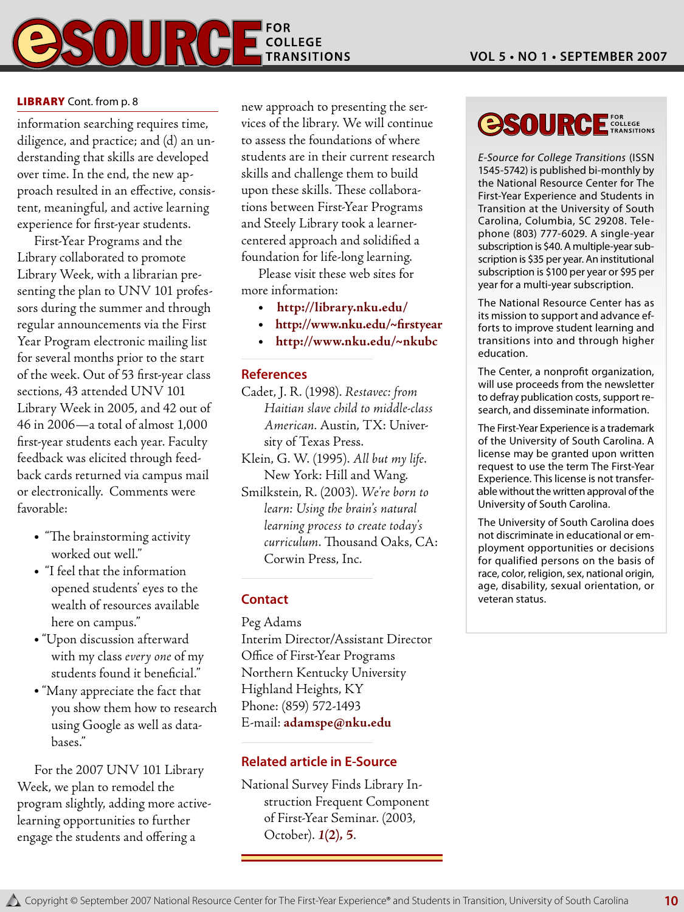

#### **LIBRARY** Cont. from p. 8

information searching requires time, diligence, and practice; and (d) an understanding that skills are developed over time. In the end, the new approach resulted in an effective, consistent, meaningful, and active learning experience for first-year students.

First-Year Programs and the Library collaborated to promote Library Week, with a librarian presenting the plan to UNV 101 professors during the summer and through regular announcements via the First Year Program electronic mailing list for several months prior to the start of the week. Out of 53 first-year class sections, 43 attended UNV 101 Library Week in 2005, and 42 out of 46 in 2006—a total of almost 1,000 first-year students each year. Faculty feedback was elicited through feedback cards returned via campus mail or electronically. Comments were favorable:

- "The brainstorming activity worked out well."
- <sup>l</sup> "I feel that the information opened students' eyes to the wealth of resources available here on campus."
- "Upon discussion afterward with my class *every one* of my students found it beneficial."
- "Many appreciate the fact that you show them how to research using Google as well as databases."

For the 2007 UNV 101 Library Week, we plan to remodel the program slightly, adding more activelearning opportunities to further engage the students and offering a

new approach to presenting the services of the library. We will continue to assess the foundations of where students are in their current research skills and challenge them to build upon these skills. These collaborations between First-Year Programs and Steely Library took a learnercentered approach and solidified a foundation for life-long learning.

Please visit these web sites for more information:

- <sup>l</sup> **http://library.nku.edu/**
- <sup>l</sup>**http://www.nku.edu/~firstyear**
- <sup>l</sup>**http://www.nku.edu/~nkubc**

#### **References**

- Cadet, J. R. (1998). *Restavec: from Haitian slave child to middle-class American.* Austin, TX: University of Texas Press.
- Klein, G. W. (1995). *All but my life*. New York: Hill and Wang.
- Smilkstein, R. (2003). *We're born to learn: Using the brain's natural learning process to create today's curriculum*. Thousand Oaks, CA: Corwin Press, Inc.

#### **Contact**

Peg Adams

Interim Director/Assistant Director Office of First-Year Programs Northern Kentucky University Highland Heights, KY Phone: (859) 572-1493 E-mail: **adamspe@nku.edu**

#### **Related article in E-Source**

National Survey Finds Library Instruction Frequent Component of First-Year Seminar. (2003, October). *1***(2)***,* **5**.

#### **OSOURC FOR**<br>COLLEGE<br>TRANSITIONS

*E-Source for College Transitions* (ISSN 1545-5742) is published bi-monthly by the National Resource Center for The First-Year Experience and Students in Transition at the University of South Carolina, Columbia, SC 29208. Telephone (803) 777-6029. A single-year subscription is \$40. A multiple-year subscription is \$35 per year. An institutional subscription is \$100 per year or \$95 per year for a multi-year subscription.

The National Resource Center has as its mission to support and advance efforts to improve student learning and transitions into and through higher education.

The Center, a nonprofit organization, will use proceeds from the newsletter to defray publication costs, support research, and disseminate information.

The First-Year Experience is a trademark of the University of South Carolina. A license may be granted upon written request to use the term The First-Year Experience. This license is not transferable without the written approval of the University of South Carolina.

The University of South Carolina does not discriminate in educational or employment opportunities or decisions for qualified persons on the basis of race, color, religion, sex, national origin, age, disability, sexual orientation, or veteran status.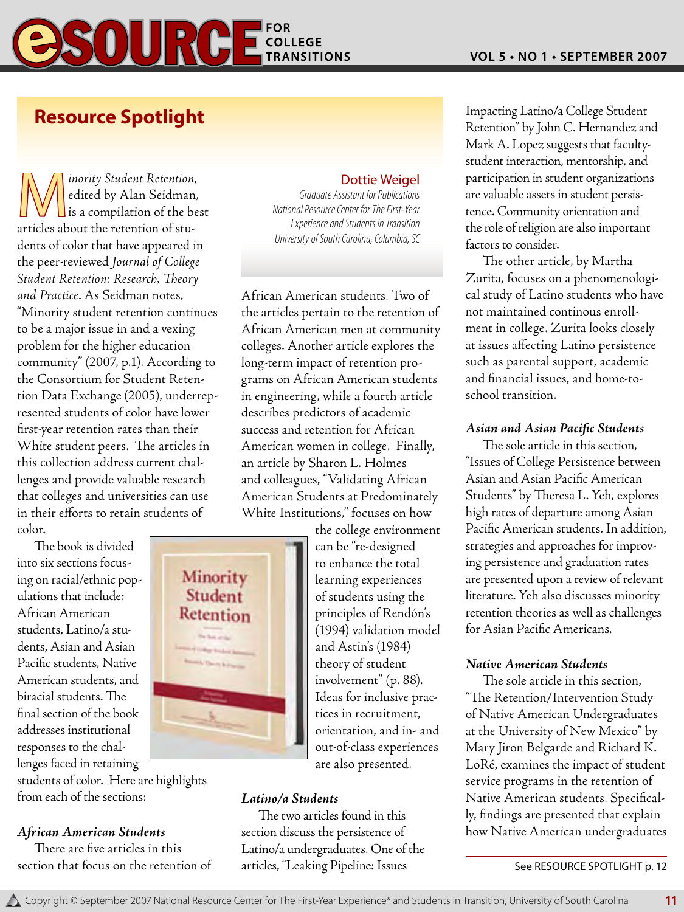# SOURCE TINGUISTIONS

# **Resource Spotlight**

M*inority Student Retention*, edited by Alan Seidman,  $\Box$  is a compilation of the best articles about the retention of students of color that have appeared in the peer-reviewed *Journal of College Student Retention: Research, Theory and Practice*. As Seidman notes, "Minority student retention continues to be a major issue in and a vexing problem for the higher education community" (2007, p.1). According to the Consortium for Student Retention Data Exchange (2005), underrepresented students of color have lower first-year retention rates than their White student peers. The articles in this collection address current challenges and provide valuable research that colleges and universities can use in their efforts to retain students of color.

The book is divided into six sections focusing on racial/ethnic populations that include: African American students, Latino/a students, Asian and Asian Pacific students, Native American students, and biracial students. The final section of the book addresses institutional responses to the challenges faced in retaining

students of color. Here are highlights from each of the sections:

#### *African American Students*

There are five articles in this section that focus on the retention of

#### Dottie Weigel

*Graduate Assistant for Publications National Resource Center for The First-Year Experience and Students in Transition University of South Carolina, Columbia, SC*

African American students. Two of the articles pertain to the retention of African American men at community colleges. Another article explores the long-term impact of retention programs on African American students in engineering, while a fourth article describes predictors of academic success and retention for African American women in college. Finally, an article by Sharon L. Holmes and colleagues, "Validating African American Students at Predominately White Institutions," focuses on how

the college environment can be "re-designed to enhance the total learning experiences of students using the principles of Rendón's (1994) validation model and Astin's (1984) theory of student involvement" (p. 88). Ideas for inclusive practices in recruitment, orientation, and in- and out-of-class experiences are also presented.

#### *Latino/a Students*

Minority Student Retention

> The two articles found in this section discuss the persistence of Latino/a undergraduates. One of the articles, "Leaking Pipeline: Issues

Impacting Latino/a College Student Retention" by John C. Hernandez and Mark A. Lopez suggests that facultystudent interaction, mentorship, and participation in student organizations are valuable assets in student persistence. Community orientation and the role of religion are also important factors to consider.

The other article, by Martha Zurita, focuses on a phenomenological study of Latino students who have not maintained continous enrollment in college. Zurita looks closely at issues affecting Latino persistence such as parental support, academic and financial issues, and home-toschool transition.

#### *Asian and Asian Pacific Students*

The sole article in this section, "Issues of College Persistence between Asian and Asian Pacific American Students" by Theresa L. Yeh, explores high rates of departure among Asian Pacific American students. In addition, strategies and approaches for improving persistence and graduation rates are presented upon a review of relevant literature. Yeh also discusses minority retention theories as well as challenges for Asian Pacific Americans.

#### *Native American Students*

The sole article in this section, "The Retention/Intervention Study of Native American Undergraduates at the University of New Mexico" by Mary Jiron Belgarde and Richard K. LoRé, examines the impact of student service programs in the retention of Native American students. Specifically, findings are presented that explain how Native American undergraduates

See RESOURCE SPOTLIGHT p. 12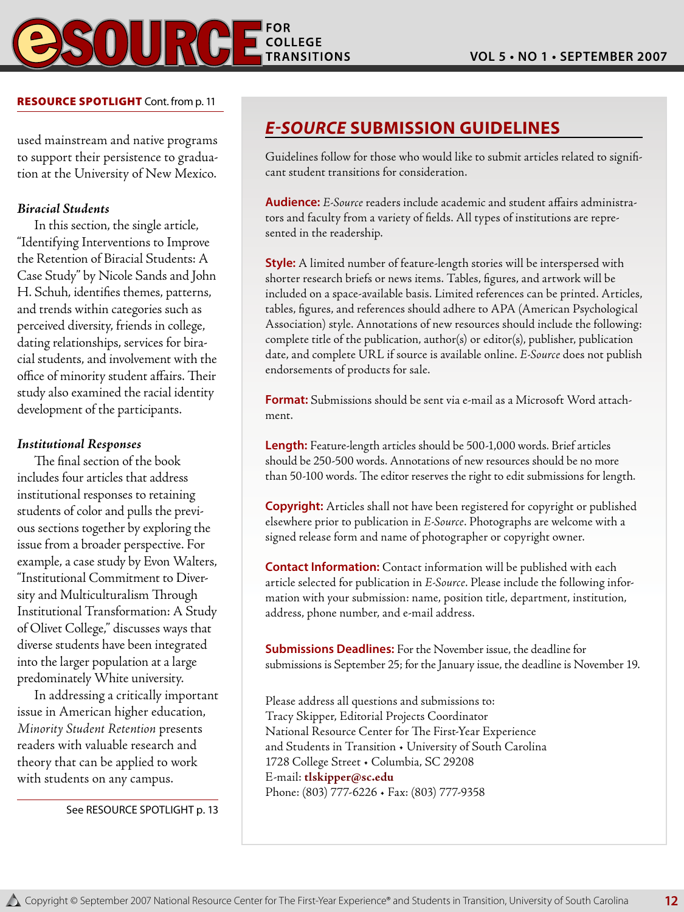

#### RESOURCE SPOTLIGHT Cont. from p. 11

used mainstream and native programs to support their persistence to graduation at the University of New Mexico.

#### *Biracial Students*

In this section, the single article, "Identifying Interventions to Improve the Retention of Biracial Students: A Case Study" by Nicole Sands and John H. Schuh, identifies themes, patterns, and trends within categories such as perceived diversity, friends in college, dating relationships, services for biracial students, and involvement with the office of minority student affairs. Their study also examined the racial identity development of the participants.

#### *Institutional Responses*

The final section of the book includes four articles that address institutional responses to retaining students of color and pulls the previous sections together by exploring the issue from a broader perspective. For example, a case study by Evon Walters, "Institutional Commitment to Diversity and Multiculturalism Through Institutional Transformation: A Study of Olivet College," discusses ways that diverse students have been integrated into the larger population at a large predominately White university.

In addressing a critically important issue in American higher education, *Minority Student Retention* presents readers with valuable research and theory that can be applied to work with students on any campus.

See RESOURCE SPOTLIGHT p. 13

## *E-Source* **Submission Guidelines**

Guidelines follow for those who would like to submit articles related to significant student transitions for consideration.

**Audience:** *E-Source* readers include academic and student affairs administrators and faculty from a variety of fields. All types of institutions are represented in the readership.

**Style:** A limited number of feature-length stories will be interspersed with shorter research briefs or news items. Tables, figures, and artwork will be included on a space-available basis. Limited references can be printed. Articles, tables, figures, and references should adhere to APA (American Psychological Association) style. Annotations of new resources should include the following: complete title of the publication, author(s) or editor(s), publisher, publication date, and complete URL if source is available online. *E-Source* does not publish endorsements of products for sale.

**Format:** Submissions should be sent via e-mail as a Microsoft Word attachment.

**Length:** Feature-length articles should be 500-1,000 words. Brief articles should be 250-500 words. Annotations of new resources should be no more than 50-100 words. The editor reserves the right to edit submissions for length.

**Copyright:** Articles shall not have been registered for copyright or published elsewhere prior to publication in *E-Source*. Photographs are welcome with a signed release form and name of photographer or copyright owner.

**Contact Information:** Contact information will be published with each article selected for publication in *E-Source*. Please include the following information with your submission: name, position title, department, institution, address, phone number, and e-mail address.

**Submissions Deadlines:** For the November issue, the deadline for submissions is September 25; for the January issue, the deadline is November 19.

Please address all questions and submissions to: Tracy Skipper, Editorial Projects Coordinator National Resource Center for The First-Year Experience and Students in Transition • University of South Carolina 1728 College Street • Columbia, SC 29208 E-mail: **tlskipper@sc.edu** Phone: (803) 777-6226 • Fax: (803) 777-9358